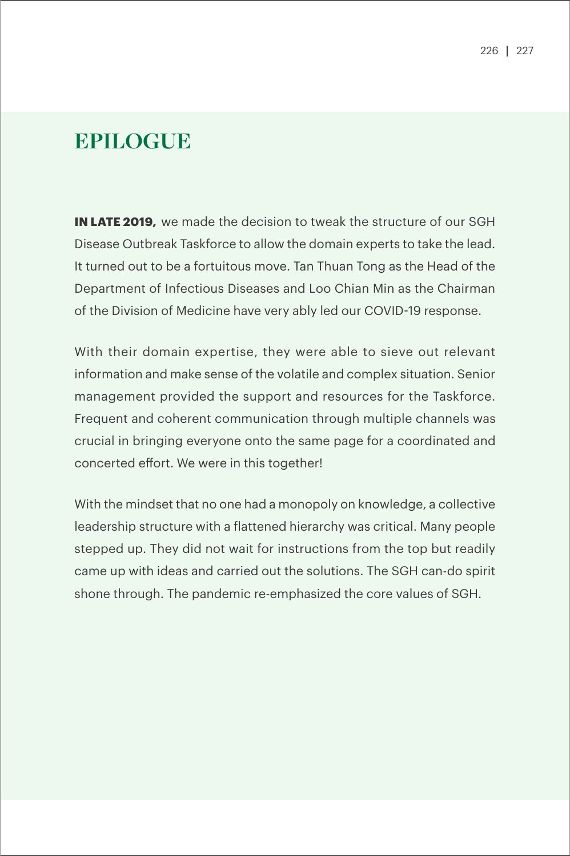## **EPILOGUE**

**IN LATE 2019,** we made the decision to tweak the structure of our SGH Disease Outbreak Taskforce to allow the domain experts to take the lead. It turned out to be a fortuitous move. Tan Thuan Tong as the Head of the Department of Infectious Diseases and Loo Chian Min as the Chairman of the Division of Medicine have very ably led our COVID-19 response.

With their domain expertise, they were able to sieve out relevant information and make sense of the volatile and complex situation. Senior management provided the support and resources for the Taskforce. Frequent and coherent communication through multiple channels was crucial in bringing everyone onto the same page for a coordinated and concerted effort. We were in this together!

With the mindset that no one had a monopoly on knowledge, a collective leadership structure with a flattened hierarchy was critical. Many people stepped up. They did not wait for instructions from the top but readily came up with ideas and carried out the solutions. The SGH can-do spirit shone through. The pandemic re-emphasized the core values of SGH.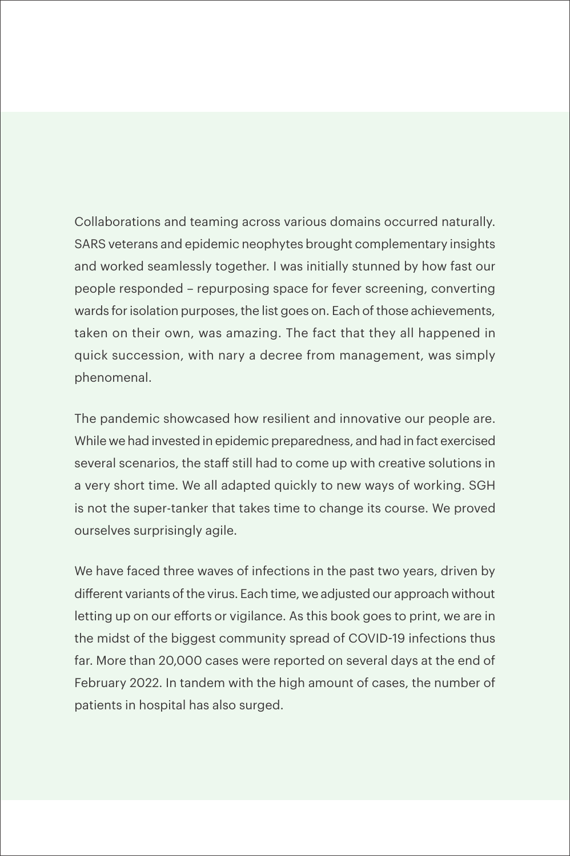Collaborations and teaming across various domains occurred naturally. SARS veterans and epidemic neophytes brought complementary insights and worked seamlessly together. I was initially stunned by how fast our people responded – repurposing space for fever screening, converting wards for isolation purposes, the list goes on. Each of those achievements, taken on their own, was amazing. The fact that they all happened in quick succession, with nary a decree from management, was simply phenomenal.

The pandemic showcased how resilient and innovative our people are. While we had invested in epidemic preparedness, and had in fact exercised several scenarios, the staff still had to come up with creative solutions in a very short time. We all adapted quickly to new ways of working. SGH is not the super-tanker that takes time to change its course. We proved ourselves surprisingly agile.

We have faced three waves of infections in the past two years, driven by different variants of the virus. Each time, we adjusted our approach without letting up on our efforts or vigilance. As this book goes to print, we are in the midst of the biggest community spread of COVID-19 infections thus far. More than 20,000 cases were reported on several days at the end of February 2022. In tandem with the high amount of cases, the number of patients in hospital has also surged.